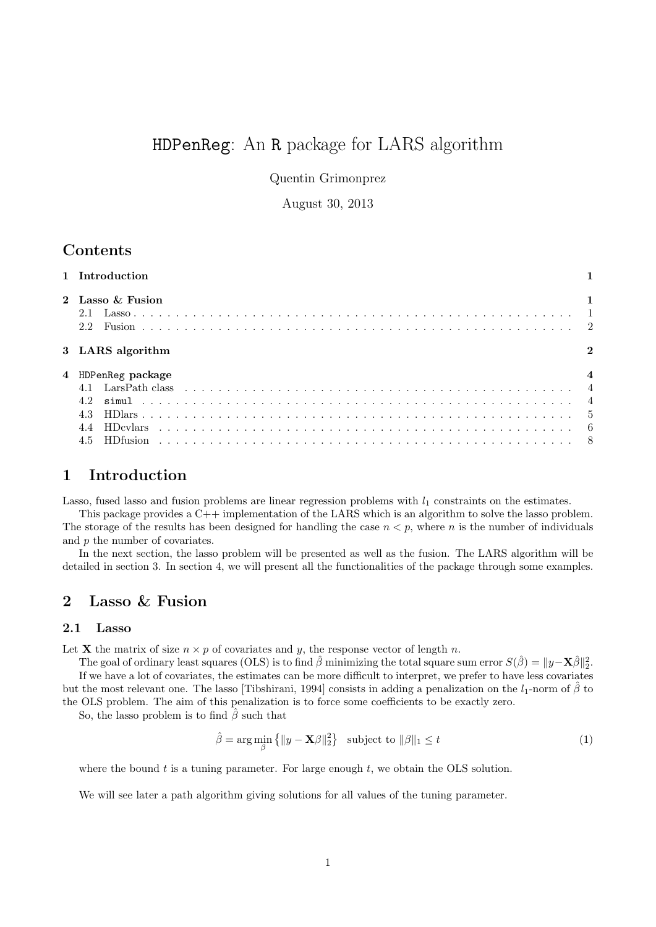# HDPenReg: An R package for LARS algorithm

Quentin Grimonprez

August 30, 2013

# **Contents**

| 1 Introduction                   |  |
|----------------------------------|--|
| 2 Lasso & Fusion<br>2.1<br>2.2   |  |
| 3 LARS algorithm                 |  |
| 4 HDPenReg package<br>4.2<br>4.3 |  |
| 4.5                              |  |

## 1 Introduction

Lasso, fused lasso and fusion problems are linear regression problems with  $l_1$  constraints on the estimates.

This package provides a C++ implementation of the LARS which is an algorithm to solve the lasso problem. The storage of the results has been designed for handling the case  $n < p$ , where n is the number of individuals and p the number of covariates.

In the next section, the lasso problem will be presented as well as the fusion. The LARS algorithm will be detailed in section 3. In section 4, we will present all the functionalities of the package through some examples.

# 2 Lasso & Fusion

## 2.1 Lasso

Let **X** the matrix of size  $n \times p$  of covariates and y, the response vector of length n.

The goal of ordinary least squares (OLS) is to find  $\hat{\beta}$  minimizing the total square sum error  $S(\hat{\beta}) = ||y - \mathbf{X}\hat{\beta}||_2^2$ . If we have a lot of covariates, the estimates can be more difficult to interpret, we prefer to have less covariates but the most relevant one. The lasso [Tibshirani, 1994] consists in adding a penalization on the  $l_1$ -norm of  $\hat{\beta}$  to the OLS problem. The aim of this penalization is to force some coefficients to be exactly zero.

So, the lasso problem is to find  $\hat{\beta}$  such that

$$
\hat{\beta} = \arg\min_{\beta} \left\{ \|y - \mathbf{X}\beta\|_2^2 \right\} \quad \text{subject to } \|\beta\|_1 \le t \tag{1}
$$

where the bound  $t$  is a tuning parameter. For large enough  $t$ , we obtain the OLS solution.

We will see later a path algorithm giving solutions for all values of the tuning parameter.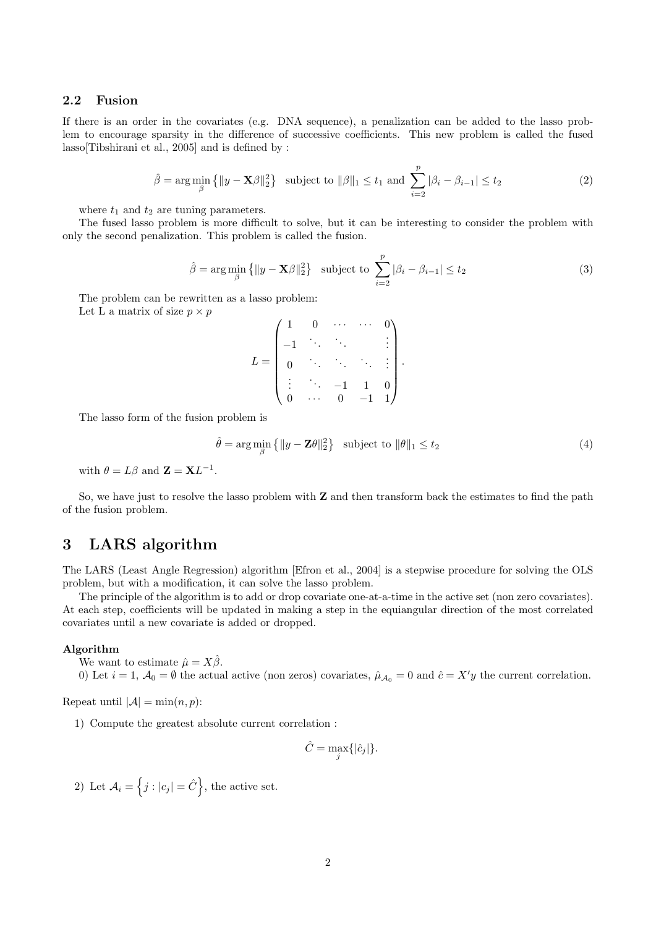#### 2.2 Fusion

If there is an order in the covariates (e.g. DNA sequence), a penalization can be added to the lasso problem to encourage sparsity in the difference of successive coefficients. This new problem is called the fused lasso[Tibshirani et al., 2005] and is defined by :

$$
\hat{\beta} = \arg\min_{\beta} \left\{ \|y - \mathbf{X}\beta\|_2^2 \right\} \text{ subject to } \|\beta\|_1 \le t_1 \text{ and } \sum_{i=2}^p |\beta_i - \beta_{i-1}| \le t_2 \tag{2}
$$

where  $t_1$  and  $t_2$  are tuning parameters.

The fused lasso problem is more difficult to solve, but it can be interesting to consider the problem with only the second penalization. This problem is called the fusion.

$$
\hat{\beta} = \arg\min_{\beta} \{ ||y - \mathbf{X}\beta||_2^2 \} \quad \text{subject to} \quad \sum_{i=2}^p |\beta_i - \beta_{i-1}| \le t_2 \tag{3}
$$

The problem can be rewritten as a lasso problem: Let L a matrix of size  $p \times p$ 

$$
L = \begin{pmatrix} 1 & 0 & \cdots & \cdots & 0 \\ -1 & \ddots & \ddots & & \vdots \\ 0 & \ddots & \ddots & \ddots & \vdots \\ \vdots & \ddots & -1 & 1 & 0 \\ 0 & \cdots & 0 & -1 & 1 \end{pmatrix}.
$$

The lasso form of the fusion problem is

$$
\hat{\theta} = \arg\min_{\beta} \left\{ \|y - \mathbf{Z}\theta\|_2^2 \right\} \quad \text{subject to } \|\theta\|_1 \le t_2 \tag{4}
$$

with  $\theta = L\beta$  and  $\mathbf{Z} = \mathbf{X}L^{-1}$ .

So, we have just to resolve the lasso problem with Z and then transform back the estimates to find the path of the fusion problem.

## 3 LARS algorithm

The LARS (Least Angle Regression) algorithm [Efron et al., 2004] is a stepwise procedure for solving the OLS problem, but with a modification, it can solve the lasso problem.

The principle of the algorithm is to add or drop covariate one-at-a-time in the active set (non zero covariates). At each step, coefficients will be updated in making a step in the equiangular direction of the most correlated covariates until a new covariate is added or dropped.

#### Algorithm

We want to estimate  $\hat{\mu} = X\hat{\beta}$ .

0) Let  $i = 1$ ,  $\mathcal{A}_0 = \emptyset$  the actual active (non zeros) covariates,  $\hat{\mu}_{\mathcal{A}_0} = 0$  and  $\hat{c} = X'y$  the current correlation.

Repeat until  $|\mathcal{A}| = \min(n, p)$ :

1) Compute the greatest absolute current correlation :

$$
\hat{C} = \max_j \{ |\hat{c}_j| \}.
$$

2) Let  $\mathcal{A}_i = \left\{ j : |c_j| = \hat{C} \right\}$ , the active set.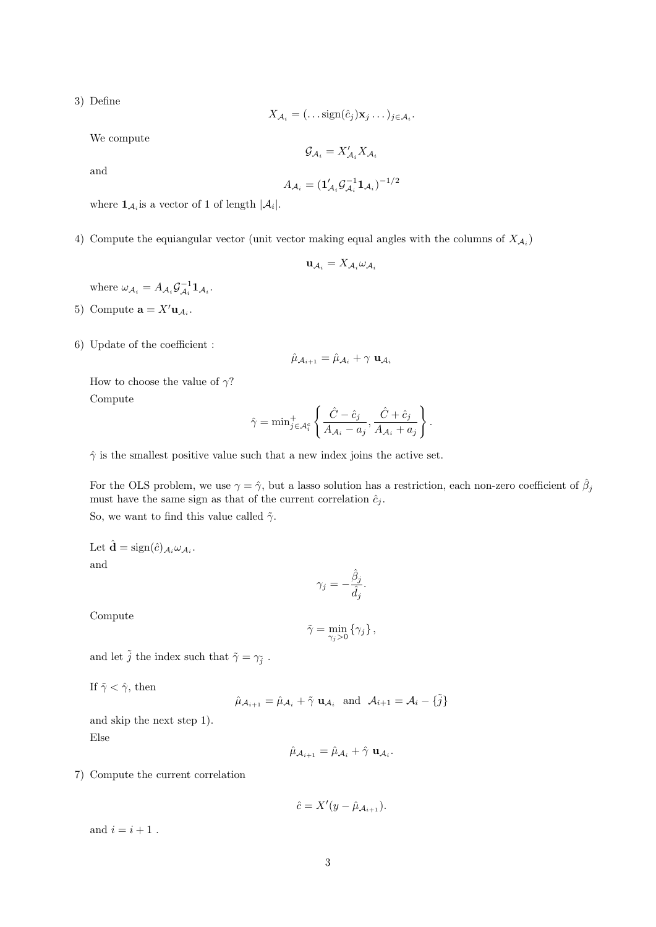3) Define

$$
X_{\mathcal{A}_i} = (\dots \text{sign}(\hat{c}_j) \mathbf{x}_j \dots)_{j \in \mathcal{A}_i}.
$$

We compute

$$
\mathcal{G}_{\mathcal{A}_i}=X'_{\mathcal{A}_i}X_{\mathcal{A}_i}
$$

and

$$
A_{\mathcal{A}_i} = (\mathbf{1}_{\mathcal{A}_i}'\mathcal{G}_{\mathcal{A}_i}^{-1}\mathbf{1}_{\mathcal{A}_i})^{-1/2}
$$

where  $\mathbf{1}_{\mathcal{A}_i}$  is a vector of 1 of length  $|\mathcal{A}_i|$ .

4) Compute the equiangular vector (unit vector making equal angles with the columns of  $X_{\mathcal{A}_i}$ )

$$
\mathbf{u}_{\mathcal{A}_i} = X_{\mathcal{A}_i} \omega_{\mathcal{A}_i}
$$

where  $\omega_{A_i} = A_{A_i} \mathcal{G}_{A_i}^{-1} \mathbf{1}_{A_i}$ .

- 5) Compute  $\mathbf{a} = X' \mathbf{u}_{\mathcal{A}_i}$ .
- 6) Update of the coefficient :

$$
\hat{\mu}_{\mathcal{A}_{i+1}} = \hat{\mu}_{\mathcal{A}_i} + \gamma \mathbf{u}_{\mathcal{A}_i}
$$

How to choose the value of  $\gamma$ ?

Compute

$$
\hat{\gamma} = \min_{j \in A_i^c} \left\{ \frac{\hat{C} - \hat{c}_j}{A_{\mathcal{A}_i} - a_j}, \frac{\hat{C} + \hat{c}_j}{A_{\mathcal{A}_i} + a_j} \right\}.
$$

 $\hat{\gamma}$  is the smallest positive value such that a new index joins the active set.

For the OLS problem, we use  $\gamma = \hat{\gamma}$ , but a lasso solution has a restriction, each non-zero coefficient of  $\hat{\beta}_j$ must have the same sign as that of the current correlation  $\hat{c}_i$ . So, we want to find this value called  $\tilde{\gamma}$ .

Let  $\hat{\mathbf{d}} = \text{sign}(\hat{c})_{\mathcal{A}_i} \omega_{\mathcal{A}_i}$ . and

$$
\gamma_j = -\frac{\hat{\beta}_j}{\hat{d}_j}.
$$

Compute

$$
\tilde{\gamma} = \min_{\gamma_j > 0} \left\{ \gamma_j \right\},\,
$$

and let  $\tilde{j}$  the index such that  $\tilde{\gamma} = \gamma_{\tilde{j}}$ .

If  $\tilde{\gamma} < \hat{\gamma}$ , then

$$
\hat{\mu}_{\mathcal{A}_{i+1}} = \hat{\mu}_{\mathcal{A}_i} + \tilde{\gamma} \mathbf{u}_{\mathcal{A}_i} \text{ and } \mathcal{A}_{i+1} = \mathcal{A}_i - {\tilde{j}}
$$

and skip the next step 1). Else

$$
\hat{\mu}_{\mathcal{A}_{i+1}} = \hat{\mu}_{\mathcal{A}_i} + \hat{\gamma} \mathbf{u}_{\mathcal{A}_i}.
$$

7) Compute the current correlation

$$
\hat{c} = X'(y - \hat{\mu}_{\mathcal{A}_{i+1}}).
$$

and  $i = i + 1$ .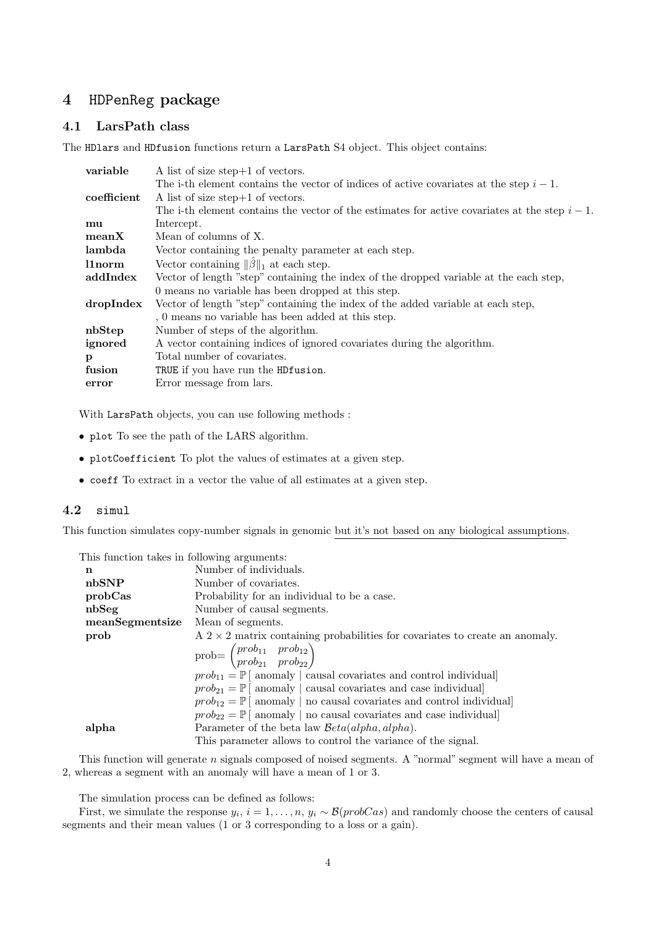# 4 HDPenReg package

## 4.1 LarsPath class

The HDlars and HDfusion functions return a LarsPath S4 object. This object contains:

| variable    | A list of size step $+1$ of vectors.                                                            |
|-------------|-------------------------------------------------------------------------------------------------|
|             | The i-th element contains the vector of indices of active covariates at the step $i-1$ .        |
| coefficient | A list of size step $+1$ of vectors.                                                            |
|             | The i-th element contains the vector of the estimates for active covariates at the step $i-1$ . |
| mu          | Intercept.                                                                                      |
| meanX       | Mean of columns of X.                                                                           |
| lambda      | Vector containing the penalty parameter at each step.                                           |
| l1norm      | Vector containing $\ \hat{\beta}\ _1$ at each step.                                             |
| addIndex    | Vector of length "step" containing the index of the dropped variable at the each step,          |
|             | 0 means no variable has been dropped at this step.                                              |
| dropIndex   | Vector of length "step" containing the index of the added variable at each step,                |
|             | , 0 means no variable has been added at this step.                                              |
| nbStep      | Number of steps of the algorithm.                                                               |
| ignored     | A vector containing indices of ignored covariates during the algorithm.                         |
| p           | Total number of covariates.                                                                     |
| fusion      | TRUE if you have run the HDfusion.                                                              |
| error       | Error message from lars.                                                                        |

With LarsPath objects, you can use following methods :

- plot To see the path of the LARS algorithm.
- plotCoefficient To plot the values of estimates at a given step.
- coeff To extract in a vector the value of all estimates at a given step.

#### 4.2 simul

This function simulates copy-number signals in genomic but it's not based on any biological assumptions.

| This function takes in following arguments: |                                                                                              |  |  |
|---------------------------------------------|----------------------------------------------------------------------------------------------|--|--|
| n                                           | Number of individuals.                                                                       |  |  |
| nbSNP                                       | Number of covariates.                                                                        |  |  |
| probCas                                     | Probability for an individual to be a case.                                                  |  |  |
| nbSeg                                       | Number of causal segments.                                                                   |  |  |
| meanSegmentsize                             | Mean of segments.                                                                            |  |  |
| prob                                        | $A$ 2 $\times$ 2 matrix containing probabilities for covariates to create an anomaly.        |  |  |
|                                             | $\text{prob} = \begin{pmatrix} prob_{11} & prob_{12} \\ prob_{21} & prob_{22} \end{pmatrix}$ |  |  |
|                                             | $prob_{11} = \mathbb{P}$ anomaly causal covariates and control individual                    |  |  |
|                                             | $prob_{21} = \mathbb{P}$ anomaly causal covariates and case individual                       |  |  |
|                                             | $prob_{12} = \mathbb{P}$ anomaly   no causal covariates and control individual]              |  |  |
|                                             | $prob_{22} = \mathbb{P}$ anomaly   no causal covariates and case individual]                 |  |  |
| alpha                                       | Parameter of the beta law $\mathcal{B}eta(alpha, alpha)$ .                                   |  |  |
|                                             | This parameter allows to control the variance of the signal.                                 |  |  |

This function will generate n signals composed of noised segments. A "normal" segment will have a mean of 2, whereas a segment with an anomaly will have a mean of 1 or 3.

The simulation process can be defined as follows:

First, we simulate the response  $y_i$ ,  $i = 1, ..., n$ ,  $y_i \sim \mathcal{B}(probCas)$  and randomly choose the centers of causal segments and their mean values (1 or 3 corresponding to a loss or a gain).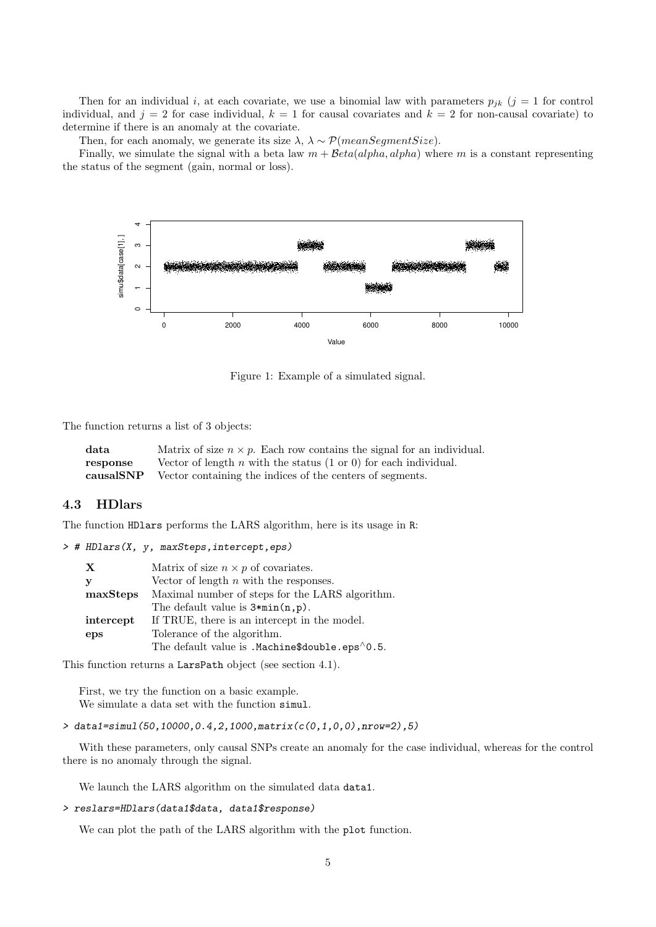Then for an individual i, at each covariate, we use a binomial law with parameters  $p_{jk}$  (j = 1 for control individual, and  $j = 2$  for case individual,  $k = 1$  for causal covariates and  $k = 2$  for non-causal covariate) to determine if there is an anomaly at the covariate.

Then, for each anomaly, we generate its size  $\lambda$ ,  $\lambda \sim \mathcal{P}(meanSegmentSize)$ .

Finally, we simulate the signal with a beta law  $m + \beta eta(alpha, alpha, alpha)$  where m is a constant representing the status of the segment (gain, normal or loss).



Figure 1: Example of a simulated signal.

The function returns a list of 3 objects:

| data      | Matrix of size $n \times p$ . Each row contains the signal for an individual. |
|-----------|-------------------------------------------------------------------------------|
| response  | Vector of length $n$ with the status $(1 \text{ or } 0)$ for each individual. |
| causalSNP | Vector containing the indices of the centers of segments.                     |

#### 4.3 HDlars

The function HDlars performs the LARS algorithm, here is its usage in R:

```
> # HDlars(X, y, maxSteps,intercept,eps)
```

| X         | Matrix of size $n \times p$ of covariates.              |
|-----------|---------------------------------------------------------|
| y         | Vector of length $n$ with the responses.                |
| maxSteps  | Maximal number of steps for the LARS algorithm.         |
|           | The default value is $3 * min(n, p)$ .                  |
| intercept | If TRUE, there is an intercept in the model.            |
| eps       | Tolerance of the algorithm.                             |
|           | The default value is . Machine\$double.eps $\land$ 0.5. |

This function returns a LarsPath object (see section 4.1).

First, we try the function on a basic example. We simulate a data set with the function simul.

```
> data1=simul(50,10000,0.4,2,1000,matrix(c(0,1,0,0),nrow=2),5)
```
With these parameters, only causal SNPs create an anomaly for the case individual, whereas for the control there is no anomaly through the signal.

We launch the LARS algorithm on the simulated data data1.

```
> reslars=HDlars(data1$data, data1$response)
```
We can plot the path of the LARS algorithm with the plot function.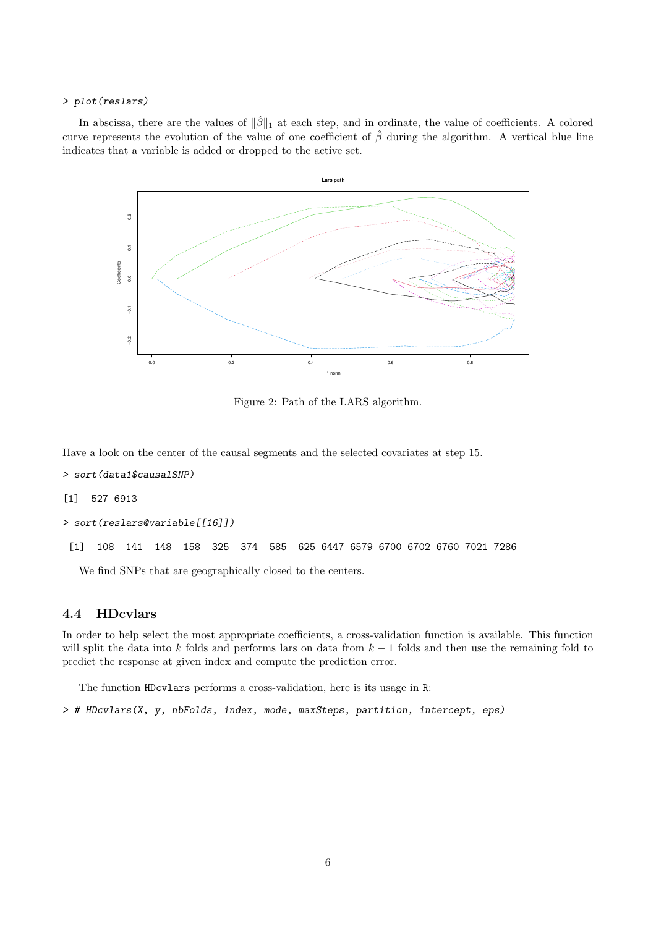#### > plot(reslars)

In abscissa, there are the values of  $\|\hat{\beta}\|_1$  at each step, and in ordinate, the value of coefficients. A colored curve represents the evolution of the value of one coefficient of  $\hat{\beta}$  during the algorithm. A vertical blue line indicates that a variable is added or dropped to the active set.



Figure 2: Path of the LARS algorithm.

Have a look on the center of the causal segments and the selected covariates at step 15.

- > sort(data1\$causalSNP)
- [1] 527 6913

```
> sort(reslars@variable[[16]])
```
[1] 108 141 148 158 325 374 585 625 6447 6579 6700 6702 6760 7021 7286

We find SNPs that are geographically closed to the centers.

## 4.4 HDcvlars

In order to help select the most appropriate coefficients, a cross-validation function is available. This function will split the data into k folds and performs lars on data from  $k - 1$  folds and then use the remaining fold to predict the response at given index and compute the prediction error.

The function HDcvlars performs a cross-validation, here is its usage in R:

> # HDcvlars(X, y, nbFolds, index, mode, maxSteps, partition, intercept, eps)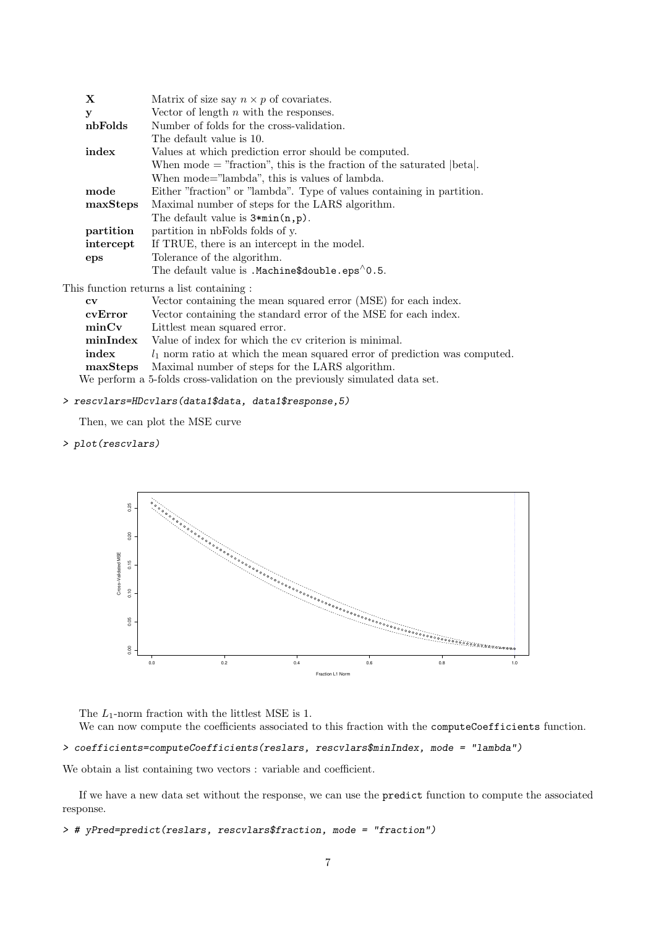| X                                      | Matrix of size say $n \times p$ of covariates.                             |  |
|----------------------------------------|----------------------------------------------------------------------------|--|
| у                                      | Vector of length $n$ with the responses.                                   |  |
| nbFolds                                | Number of folds for the cross-validation.                                  |  |
|                                        | The default value is 10.                                                   |  |
| index                                  | Values at which prediction error should be computed.                       |  |
|                                        | When mode $=$ "fraction", this is the fraction of the saturated $ beta $ . |  |
|                                        | When mode="lambda", this is values of lambda.                              |  |
| mode                                   | Either "fraction" or "lambda". Type of values containing in partition.     |  |
| maxSteps                               | Maximal number of steps for the LARS algorithm.                            |  |
|                                        | The default value is $3 * min(n, p)$ .                                     |  |
| partition                              | partition in nbFolds folds of y.                                           |  |
| intercept                              | If TRUE, there is an intercept in the model.                               |  |
| eps                                    | Tolerance of the algorithm.                                                |  |
|                                        | The default value is . Machine $\delta$ double. eps $\delta$ 0.5.          |  |
| e function roturne o liet contoining : |                                                                            |  |

This function returns a list containing : cv Vector containing the mean squared error (MSE) for each index.

| cvError  | Vector containing the standard error of the MSE for each index.              |
|----------|------------------------------------------------------------------------------|
| minCv    | Littlest mean squared error.                                                 |
| minIndex | Value of index for which the cy criterion is minimal.                        |
| index    | $l_1$ norm ratio at which the mean squared error of prediction was computed. |
|          | <b>maxSteps</b> Maximal number of steps for the LARS algorithm.              |
|          | We perform a 5-folds cross-validation on the previously simulated data set.  |

#### > rescvlars=HDcvlars(data1\$data, data1\$response,5)

Then, we can plot the MSE curve

> plot(rescvlars)



The  $L_1$ -norm fraction with the littlest MSE is 1.

We can now compute the coefficients associated to this fraction with the computeCoefficients function.

> coefficients=computeCoefficients(reslars, rescvlars\$minIndex, mode = "lambda")

We obtain a list containing two vectors : variable and coefficient.

If we have a new data set without the response, we can use the predict function to compute the associated response.

> # yPred=predict(reslars, rescvlars\$fraction, mode = "fraction")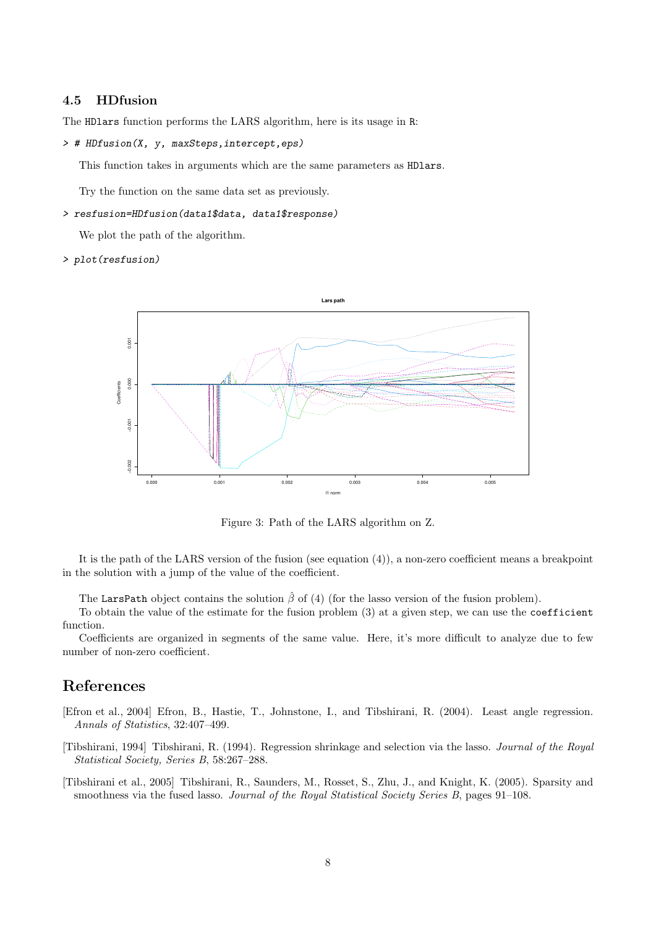## 4.5 HDfusion

The HDlars function performs the LARS algorithm, here is its usage in R:

> # HDfusion(X, y, maxSteps,intercept,eps)

This function takes in arguments which are the same parameters as HDlars.

Try the function on the same data set as previously.

#### > resfusion=HDfusion(data1\$data, data1\$response)

We plot the path of the algorithm.

> plot(resfusion)



Figure 3: Path of the LARS algorithm on Z.

It is the path of the LARS version of the fusion (see equation (4)), a non-zero coefficient means a breakpoint in the solution with a jump of the value of the coefficient.

The LarsPath object contains the solution  $\hat{\beta}$  of (4) (for the lasso version of the fusion problem).

To obtain the value of the estimate for the fusion problem (3) at a given step, we can use the coefficient function.

Coefficients are organized in segments of the same value. Here, it's more difficult to analyze due to few number of non-zero coefficient.

## References

- [Efron et al., 2004] Efron, B., Hastie, T., Johnstone, I., and Tibshirani, R. (2004). Least angle regression. Annals of Statistics, 32:407–499.
- [Tibshirani, 1994] Tibshirani, R. (1994). Regression shrinkage and selection via the lasso. Journal of the Royal Statistical Society, Series B, 58:267–288.
- [Tibshirani et al., 2005] Tibshirani, R., Saunders, M., Rosset, S., Zhu, J., and Knight, K. (2005). Sparsity and smoothness via the fused lasso. Journal of the Royal Statistical Society Series B, pages 91–108.